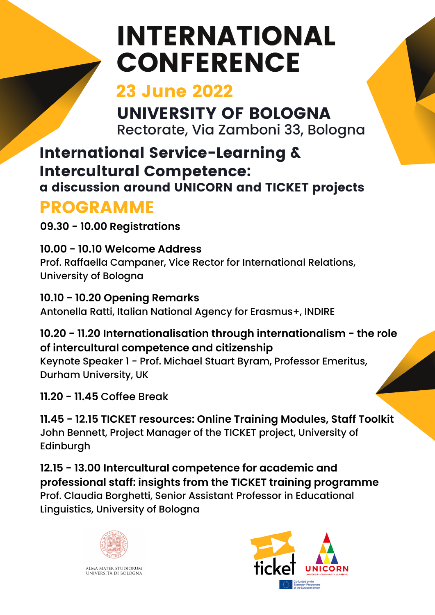# INTERNATIONAL **CONFERENCE**

### 23 June 2022

UNIVERSITY OF BOLOGNA Rectorate, Via Zamboni 33, Bologna

### International Service-Learning & Intercultural Competence:

a discussion around UNICORN and TICKET projects

# PROGRAMME

**09.30 - 10.00 Registrations**

**10.00 - 10.10 Welcome Address** Prof. Raffaella Campaner, Vice Rector for International Relations, University of Bologna

**10.10 - 10.20 Opening Remarks** Antonella Ratti, Italian National Agency for Erasmus+, INDIRE

**10.20 - 11.20 Internationalisation through internationalism - the role of intercultural competence and citizenship**

Keynote Speaker 1 - Prof. Michael Stuart Byram, Professor Emeritus, Durham University, UK

**11.20 - 11.45** Coffee Break

**11.45 - 12.15 TICKET resources: Online Training Modules, Staff Toolkit** John Bennett, Project Manager of the TICKET project, University of Edinburgh

**12.15 - 13.00 Intercultural competence for academic and professional staff: insights from the TICKET training programme** Prof. Claudia Borghetti, Senior Assistant Professor in Educational Linguistics, University of Bologna



ALMA MATER STUDIORUM<br>Università di Bologna